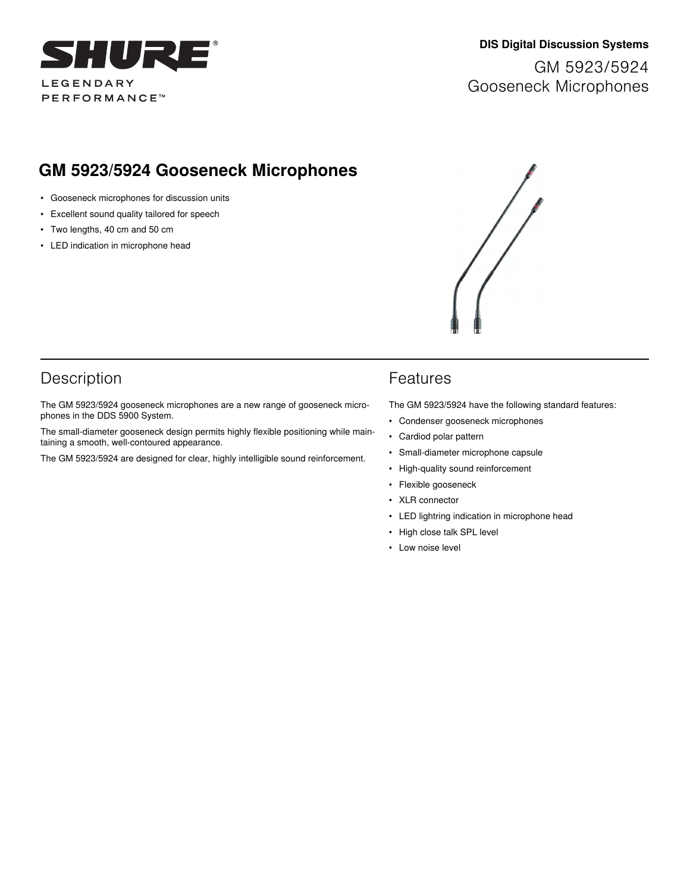

### **DIS Digital Discussion Systems**

GM 5923/5924 Gooseneck Microphones

# **GM 5923/5924 Gooseneck Microphones**

- Gooseneck microphones for discussion units
- Excellent sound quality tailored for speech
- Two lengths, 40 cm and 50 cm
- LED indication in microphone head



### Description

The GM 5923/5924 gooseneck microphones are a new range of gooseneck microphones in the DDS 5900 System.

The small-diameter gooseneck design permits highly flexible positioning while maintaining a smooth, well-contoured appearance.

The GM 5923/5924 are designed for clear, highly intelligible sound reinforcement.

### Features

The GM 5923/5924 have the following standard features:

- Condenser gooseneck microphones
- Cardiod polar pattern
- Small-diameter microphone capsule
- High-quality sound reinforcement
- Flexible gooseneck
- XLR connector
- LED lightring indication in microphone head
- High close talk SPL level
- Low noise level